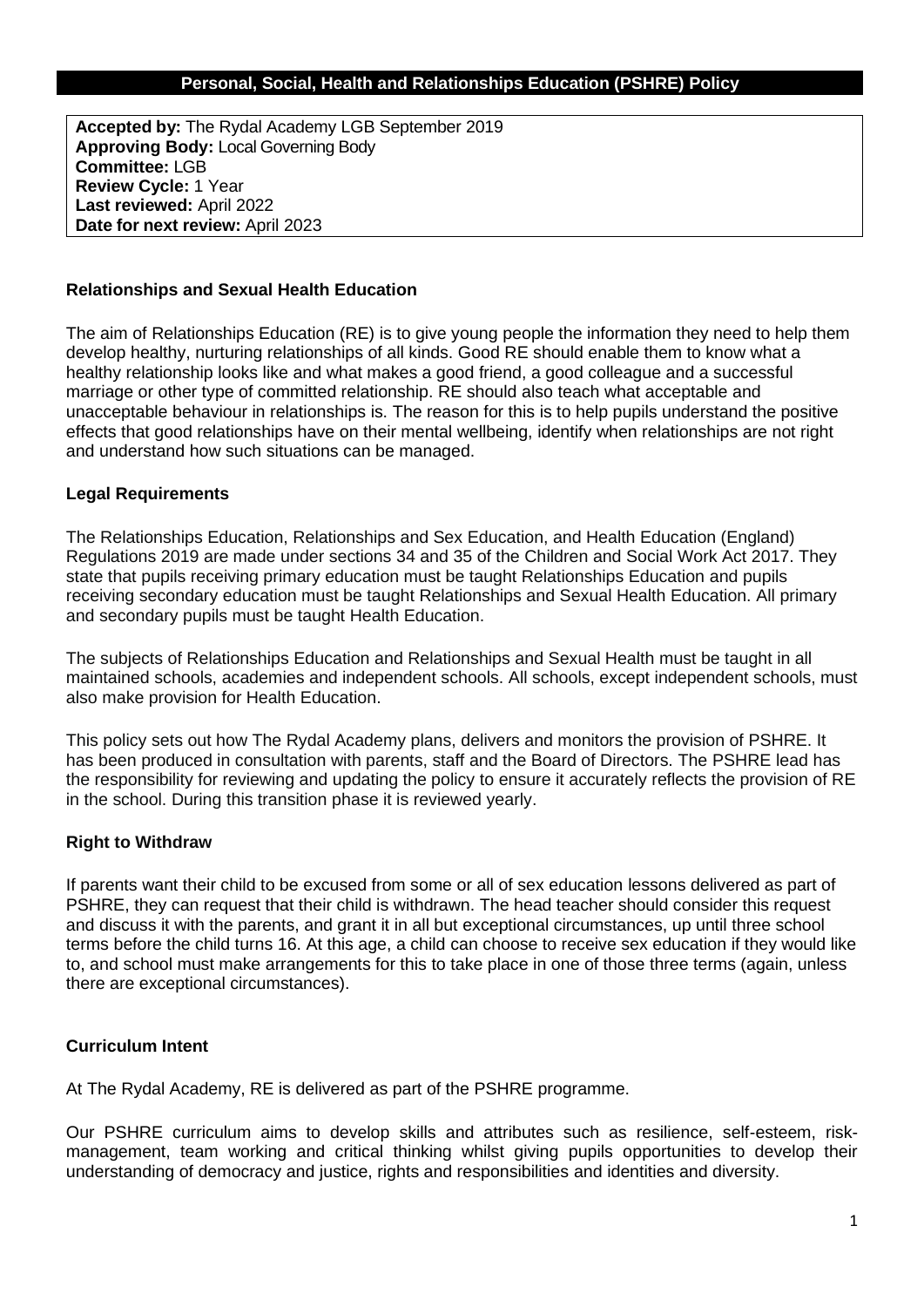### **Personal, Social, Health and Relationships Education (PSHRE) Policy**

**Accepted by:** The Rydal Academy LGB September 2019 **Approving Body:** Local Governing Body **Committee:** LGB **Review Cycle:** 1 Year **Last reviewed:** April 2022 **Date for next review:** April 2023

#### **Relationships and Sexual Health Education**

The aim of Relationships Education (RE) is to give young people the information they need to help them develop healthy, nurturing relationships of all kinds. Good RE should enable them to know what a healthy relationship looks like and what makes a good friend, a good colleague and a successful marriage or other type of committed relationship. RE should also teach what acceptable and unacceptable behaviour in relationships is. The reason for this is to help pupils understand the positive effects that good relationships have on their mental wellbeing, identify when relationships are not right and understand how such situations can be managed.

#### **Legal Requirements**

The Relationships Education, Relationships and Sex Education, and Health Education (England) Regulations 2019 are made under sections 34 and 35 of the Children and Social Work Act 2017. They state that pupils receiving primary education must be taught Relationships Education and pupils receiving secondary education must be taught Relationships and Sexual Health Education. All primary and secondary pupils must be taught Health Education.

The subjects of Relationships Education and Relationships and Sexual Health must be taught in all maintained schools, academies and independent schools. All schools, except independent schools, must also make provision for Health Education.

This policy sets out how The Rydal Academy plans, delivers and monitors the provision of PSHRE. It has been produced in consultation with parents, staff and the Board of Directors. The PSHRE lead has the responsibility for reviewing and updating the policy to ensure it accurately reflects the provision of RE in the school. During this transition phase it is reviewed yearly.

### **Right to Withdraw**

If parents want their child to be excused from some or all of sex education lessons delivered as part of PSHRE, they can request that their child is withdrawn. The head teacher should consider this request and discuss it with the parents, and grant it in all but exceptional circumstances, up until three school terms before the child turns 16. At this age, a child can choose to receive sex education if they would like to, and school must make arrangements for this to take place in one of those three terms (again, unless there are exceptional circumstances).

### **Curriculum Intent**

At The Rydal Academy, RE is delivered as part of the PSHRE programme.

Our PSHRE curriculum aims to develop skills and attributes such as resilience, self-esteem, riskmanagement, team working and critical thinking whilst giving pupils opportunities to develop their understanding of democracy and justice, rights and responsibilities and identities and diversity.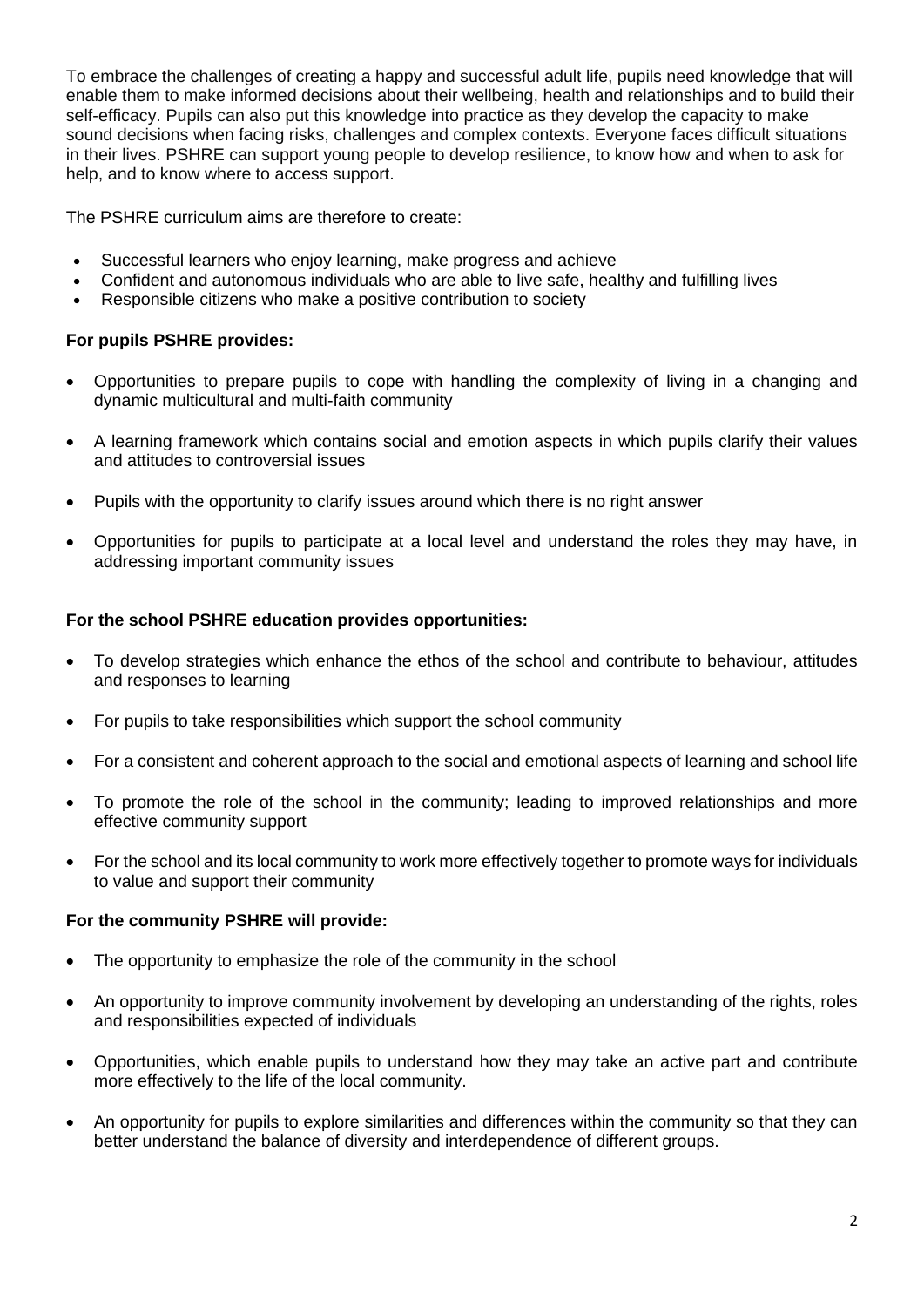To embrace the challenges of creating a happy and successful adult life, pupils need knowledge that will enable them to make informed decisions about their wellbeing, health and relationships and to build their self-efficacy. Pupils can also put this knowledge into practice as they develop the capacity to make sound decisions when facing risks, challenges and complex contexts. Everyone faces difficult situations in their lives. PSHRE can support young people to develop resilience, to know how and when to ask for help, and to know where to access support.

The PSHRE curriculum aims are therefore to create:

- Successful learners who enjoy learning, make progress and achieve
- Confident and autonomous individuals who are able to live safe, healthy and fulfilling lives
- Responsible citizens who make a positive contribution to society

## **For pupils PSHRE provides:**

- Opportunities to prepare pupils to cope with handling the complexity of living in a changing and dynamic multicultural and multi-faith community
- A learning framework which contains social and emotion aspects in which pupils clarify their values and attitudes to controversial issues
- Pupils with the opportunity to clarify issues around which there is no right answer
- Opportunities for pupils to participate at a local level and understand the roles they may have, in addressing important community issues

## **For the school PSHRE education provides opportunities:**

- To develop strategies which enhance the ethos of the school and contribute to behaviour, attitudes and responses to learning
- For pupils to take responsibilities which support the school community
- For a consistent and coherent approach to the social and emotional aspects of learning and school life
- To promote the role of the school in the community; leading to improved relationships and more effective community support
- For the school and its local community to work more effectively together to promote ways for individuals to value and support their community

### **For the community PSHRE will provide:**

- The opportunity to emphasize the role of the community in the school
- An opportunity to improve community involvement by developing an understanding of the rights, roles and responsibilities expected of individuals
- Opportunities, which enable pupils to understand how they may take an active part and contribute more effectively to the life of the local community.
- An opportunity for pupils to explore similarities and differences within the community so that they can better understand the balance of diversity and interdependence of different groups.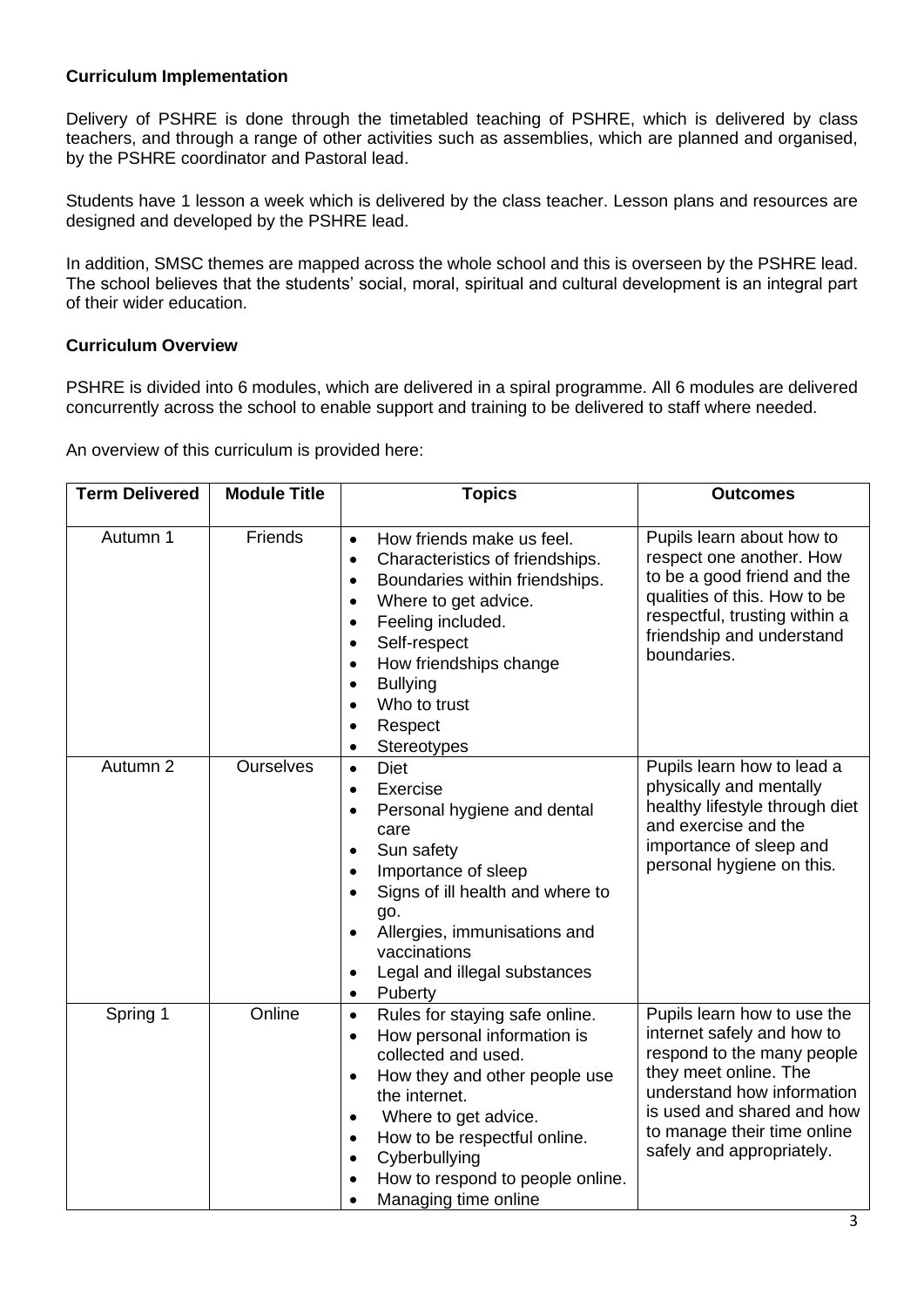## **Curriculum Implementation**

Delivery of PSHRE is done through the timetabled teaching of PSHRE, which is delivered by class teachers, and through a range of other activities such as assemblies, which are planned and organised, by the PSHRE coordinator and Pastoral lead.

Students have 1 lesson a week which is delivered by the class teacher. Lesson plans and resources are designed and developed by the PSHRE lead.

In addition, SMSC themes are mapped across the whole school and this is overseen by the PSHRE lead. The school believes that the students' social, moral, spiritual and cultural development is an integral part of their wider education.

### **Curriculum Overview**

PSHRE is divided into 6 modules, which are delivered in a spiral programme. All 6 modules are delivered concurrently across the school to enable support and training to be delivered to staff where needed.

An overview of this curriculum is provided here:

| <b>Term Delivered</b> | <b>Module Title</b> | <b>Topics</b>                                                                                                                                                                                                                                                                                                                                 | <b>Outcomes</b>                                                                                                                                                                                                                          |
|-----------------------|---------------------|-----------------------------------------------------------------------------------------------------------------------------------------------------------------------------------------------------------------------------------------------------------------------------------------------------------------------------------------------|------------------------------------------------------------------------------------------------------------------------------------------------------------------------------------------------------------------------------------------|
| Autumn 1              | Friends             | How friends make us feel.<br>$\bullet$<br>Characteristics of friendships.<br>$\bullet$<br>Boundaries within friendships.<br>$\bullet$<br>Where to get advice.<br>$\bullet$<br>Feeling included.<br>$\bullet$<br>Self-respect<br>$\bullet$<br>How friendships change<br><b>Bullying</b><br>Who to trust<br>Respect<br>Stereotypes<br>$\bullet$ | Pupils learn about how to<br>respect one another. How<br>to be a good friend and the<br>qualities of this. How to be<br>respectful, trusting within a<br>friendship and understand<br>boundaries.                                        |
| Autumn 2              | <b>Ourselves</b>    | <b>Diet</b><br>$\bullet$<br>Exercise<br>$\bullet$<br>Personal hygiene and dental<br>$\bullet$<br>care<br>Sun safety<br>Importance of sleep<br>$\bullet$<br>Signs of ill health and where to<br>go.<br>Allergies, immunisations and<br>vaccinations<br>Legal and illegal substances<br>Puberty                                                 | Pupils learn how to lead a<br>physically and mentally<br>healthy lifestyle through diet<br>and exercise and the<br>importance of sleep and<br>personal hygiene on this.                                                                  |
| Spring 1              | Online              | Rules for staying safe online.<br>$\bullet$<br>How personal information is<br>$\bullet$<br>collected and used.<br>How they and other people use<br>$\bullet$<br>the internet.<br>Where to get advice.<br>$\bullet$<br>How to be respectful online.<br>Cyberbullying<br>$\bullet$<br>How to respond to people online.<br>Managing time online  | Pupils learn how to use the<br>internet safely and how to<br>respond to the many people<br>they meet online. The<br>understand how information<br>is used and shared and how<br>to manage their time online<br>safely and appropriately. |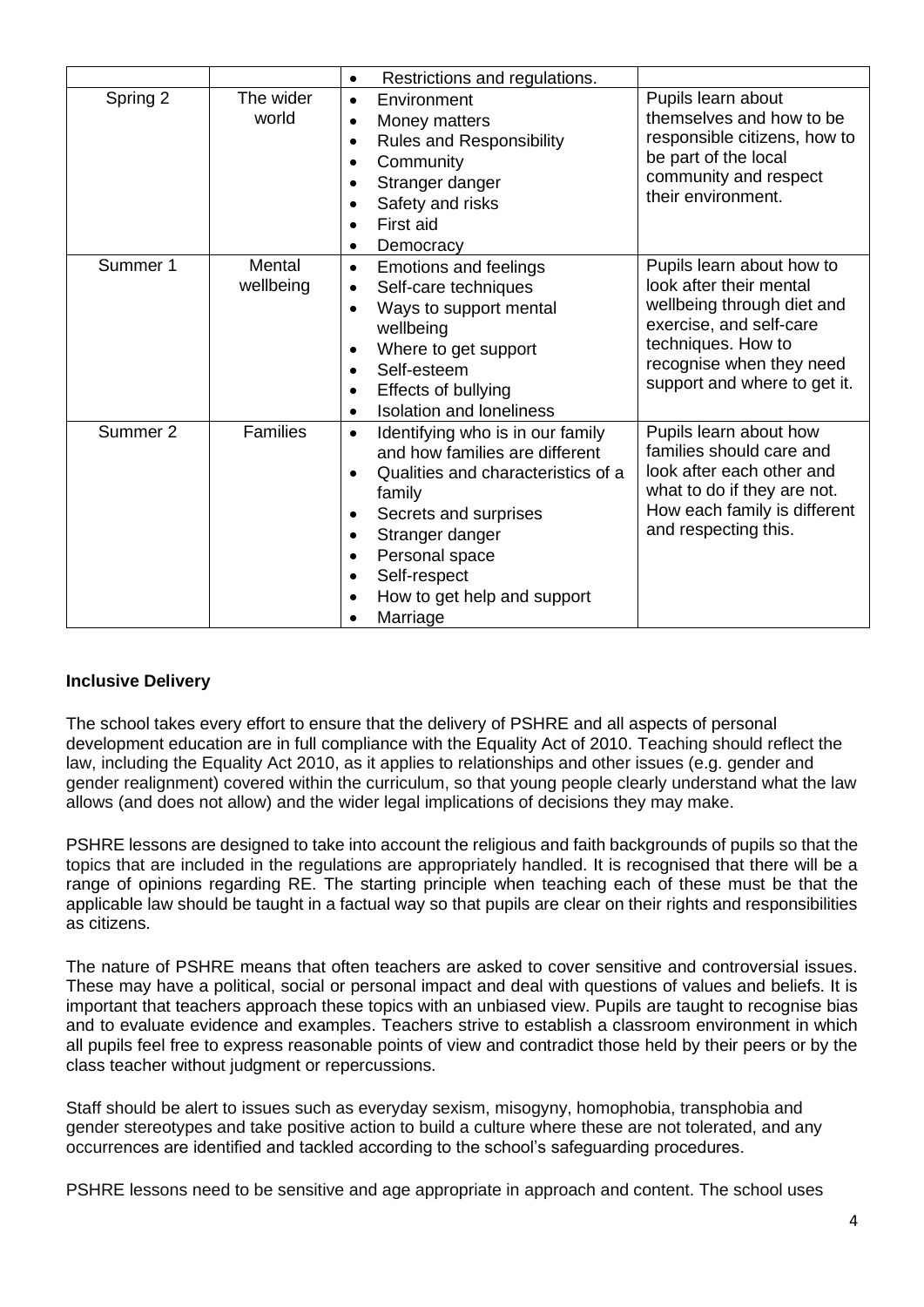|          |                     | Restrictions and regulations.<br>$\bullet$                                                                                                                                                                                                               |                                                                                                                                                                                                 |
|----------|---------------------|----------------------------------------------------------------------------------------------------------------------------------------------------------------------------------------------------------------------------------------------------------|-------------------------------------------------------------------------------------------------------------------------------------------------------------------------------------------------|
| Spring 2 | The wider<br>world  | Environment<br>$\bullet$<br>Money matters<br>$\bullet$<br><b>Rules and Responsibility</b><br>Community<br>Stranger danger<br>Safety and risks<br>First aid<br>Democracy                                                                                  | Pupils learn about<br>themselves and how to be<br>responsible citizens, how to<br>be part of the local<br>community and respect<br>their environment.                                           |
| Summer 1 | Mental<br>wellbeing | <b>Emotions and feelings</b><br>$\bullet$<br>Self-care techniques<br>$\bullet$<br>Ways to support mental<br>wellbeing<br>Where to get support<br>Self-esteem<br>$\bullet$<br>Effects of bullying<br><b>Isolation and loneliness</b>                      | Pupils learn about how to<br>look after their mental<br>wellbeing through diet and<br>exercise, and self-care<br>techniques. How to<br>recognise when they need<br>support and where to get it. |
| Summer 2 | <b>Families</b>     | Identifying who is in our family<br>$\bullet$<br>and how families are different<br>Qualities and characteristics of a<br>family<br>Secrets and surprises<br>Stranger danger<br>Personal space<br>Self-respect<br>How to get help and support<br>Marriage | Pupils learn about how<br>families should care and<br>look after each other and<br>what to do if they are not.<br>How each family is different<br>and respecting this.                          |

# **Inclusive Delivery**

The school takes every effort to ensure that the delivery of PSHRE and all aspects of personal development education are in full compliance with the Equality Act of 2010. Teaching should reflect the law, including the Equality Act 2010, as it applies to relationships and other issues (e.g. gender and gender realignment) covered within the curriculum, so that young people clearly understand what the law allows (and does not allow) and the wider legal implications of decisions they may make.

PSHRE lessons are designed to take into account the religious and faith backgrounds of pupils so that the topics that are included in the regulations are appropriately handled. It is recognised that there will be a range of opinions regarding RE. The starting principle when teaching each of these must be that the applicable law should be taught in a factual way so that pupils are clear on their rights and responsibilities as citizens.

The nature of PSHRE means that often teachers are asked to cover sensitive and controversial issues. These may have a political, social or personal impact and deal with questions of values and beliefs. It is important that teachers approach these topics with an unbiased view. Pupils are taught to recognise bias and to evaluate evidence and examples. Teachers strive to establish a classroom environment in which all pupils feel free to express reasonable points of view and contradict those held by their peers or by the class teacher without judgment or repercussions.

Staff should be alert to issues such as everyday sexism, misogyny, homophobia, transphobia and gender stereotypes and take positive action to build a culture where these are not tolerated, and any occurrences are identified and tackled according to the school's safeguarding procedures.

PSHRE lessons need to be sensitive and age appropriate in approach and content. The school uses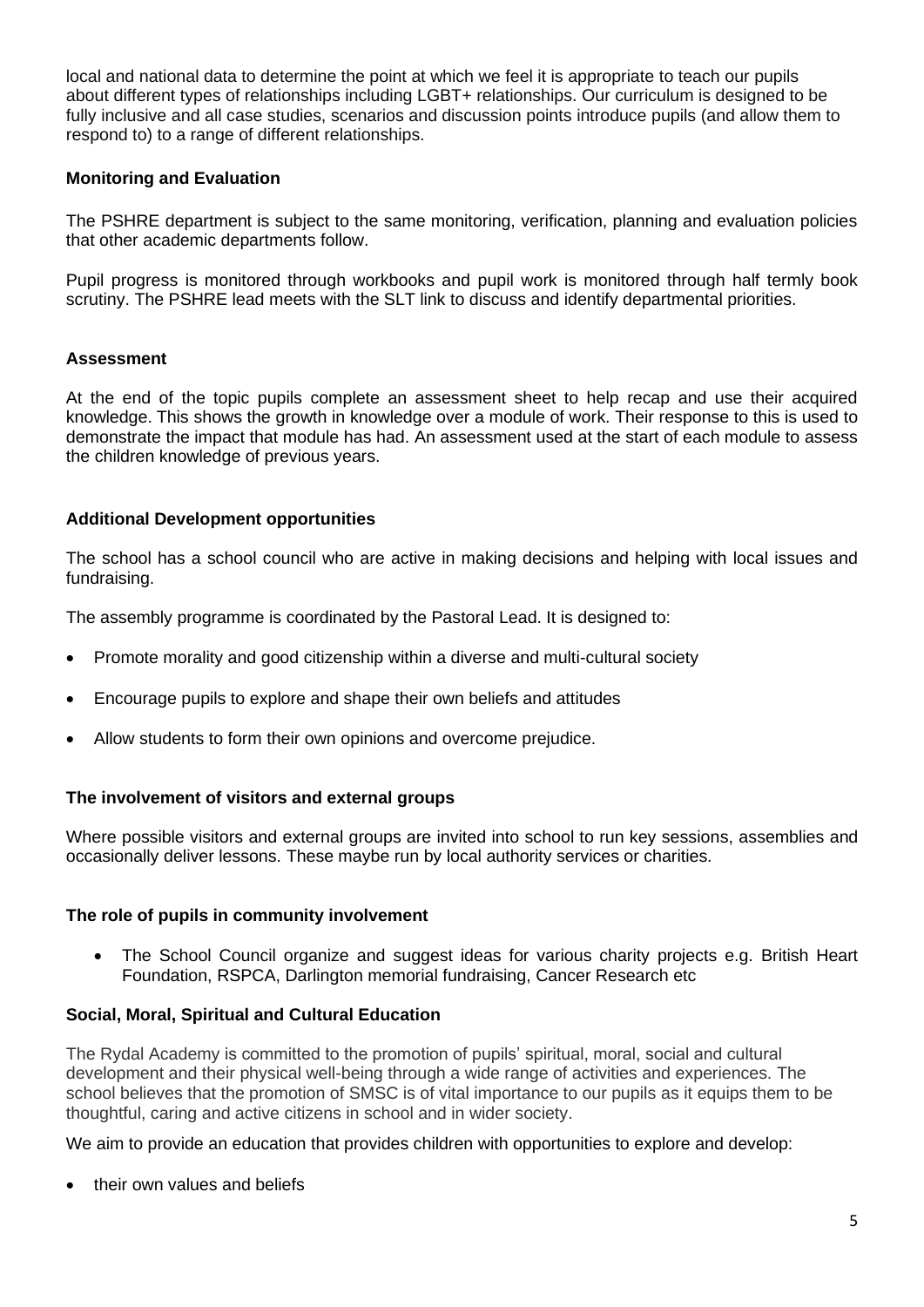local and national data to determine the point at which we feel it is appropriate to teach our pupils about different types of relationships including LGBT+ relationships. Our curriculum is designed to be fully inclusive and all case studies, scenarios and discussion points introduce pupils (and allow them to respond to) to a range of different relationships.

### **Monitoring and Evaluation**

The PSHRE department is subject to the same monitoring, verification, planning and evaluation policies that other academic departments follow.

Pupil progress is monitored through workbooks and pupil work is monitored through half termly book scrutiny. The PSHRE lead meets with the SLT link to discuss and identify departmental priorities.

### **Assessment**

At the end of the topic pupils complete an assessment sheet to help recap and use their acquired knowledge. This shows the growth in knowledge over a module of work. Their response to this is used to demonstrate the impact that module has had. An assessment used at the start of each module to assess the children knowledge of previous years.

### **Additional Development opportunities**

The school has a school council who are active in making decisions and helping with local issues and fundraising.

The assembly programme is coordinated by the Pastoral Lead. It is designed to:

- Promote morality and good citizenship within a diverse and multi-cultural society
- Encourage pupils to explore and shape their own beliefs and attitudes
- Allow students to form their own opinions and overcome prejudice.

#### **The involvement of visitors and external groups**

Where possible visitors and external groups are invited into school to run key sessions, assemblies and occasionally deliver lessons. These maybe run by local authority services or charities.

#### **The role of pupils in community involvement**

The School Council organize and suggest ideas for various charity projects e.g. British Heart Foundation, RSPCA, Darlington memorial fundraising, Cancer Research etc

#### **Social, Moral, Spiritual and Cultural Education**

The Rydal Academy is committed to the promotion of pupils' spiritual, moral, social and cultural development and their physical well-being through a wide range of activities and experiences. The school believes that the promotion of SMSC is of vital importance to our pupils as it equips them to be thoughtful, caring and active citizens in school and in wider society.

We aim to provide an education that provides children with opportunities to explore and develop:

• their own values and beliefs